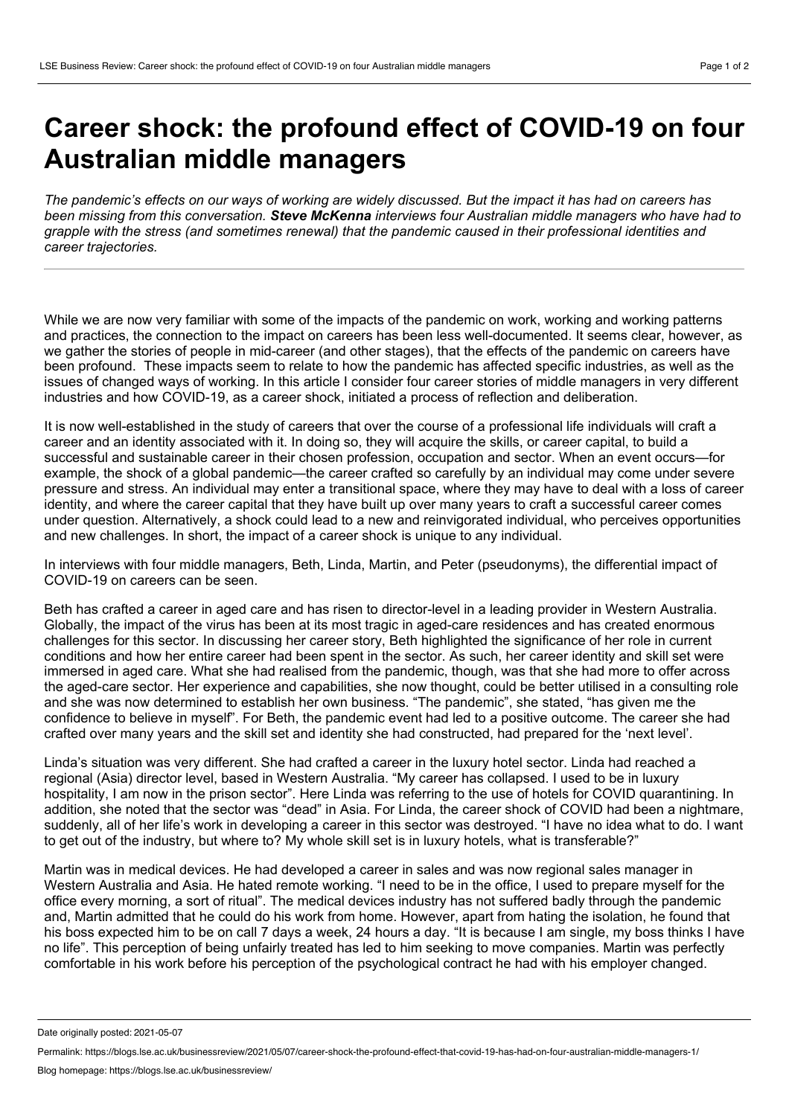## **Career shock: the profound effect of COVID-19 on four Australian middle managers**

The pandemic's effects on our ways of working are widely discussed. But the impact it has had on careers has *been missing from this conversation. Steve McKenna interviews four Australian middle managers who have had to grapple with the stress (and sometimes renewal) that the pandemic caused in their professional identities and career trajectories.*

While we are now very familiar with some of the impacts of the pandemic on work, working and working patterns and practices, the connection to the impact on careers has been less well-documented. It seems clear, however, as we gather the stories of people in mid-career (and other stages), that the effects of the pandemic on careers have been profound. These impacts seem to relate to how the pandemic has affected specific industries, as well as the issues of changed ways of working. In this article I consider four career stories of middle managers in very different industries and how COVID-19, as a career shock, initiated a process of reflection and deliberation.

It is now well-established in the study of careers that over the course of a professional life individuals will craft a career and an identity associated with it. In doing so, they will acquire the skills, or career capital, to build a successful and sustainable career in their chosen profession, occupation and sector. When an event occurs—for example, the shock of a global pandemic—the career crafted so carefully by an individual may come under severe pressure and stress. An individual may enter a transitional space, where they may have to deal with a loss of career identity, and where the career capital that they have built up over many years to craft a successful career comes under question. Alternatively, a shock could lead to a new and reinvigorated individual, who perceives opportunities and new challenges. In short, the impact of a career shock is unique to any individual.

In interviews with four middle managers, Beth, Linda, Martin, and Peter (pseudonyms), the differential impact of COVID-19 on careers can be seen.

Beth has crafted a career in aged care and has risen to director-level in a leading provider in Western Australia. Globally, the impact of the virus has been at its most tragic in aged-care residences and has created enormous challenges for this sector. In discussing her career story, Beth highlighted the significance of her role in current conditions and how her entire career had been spent in the sector. As such, her career identity and skill set were immersed in aged care. What she had realised from the pandemic, though, was that she had more to offer across the aged-care sector. Her experience and capabilities, she now thought, could be better utilised in a consulting role and she was now determined to establish her own business. "The pandemic", she stated, "has given me the confidence to believe in myself". For Beth, the pandemic event had led to a positive outcome. The career she had crafted over many years and the skill set and identity she had constructed, had prepared for the 'next level'.

Linda's situation was very different. She had crafted a career in the luxury hotel sector. Linda had reached a regional (Asia) director level, based in Western Australia. "My career has collapsed. I used to be in luxury hospitality, I am now in the prison sector". Here Linda was referring to the use of hotels for COVID quarantining. In addition, she noted that the sector was "dead" in Asia. For Linda, the career shock of COVID had been a nightmare, suddenly, all of her life's work in developing a career in this sector was destroyed. "I have no idea what to do. I want to get out of the industry, but where to? My whole skill set is in luxury hotels, what is transferable?"

Martin was in medical devices. He had developed a career in sales and was now regional sales manager in Western Australia and Asia. He hated remote working. "I need to be in the office, I used to prepare myself for the office every morning, a sort of ritual". The medical devices industry has not suffered badly through the pandemic and, Martin admitted that he could do his work from home. However, apart from hating the isolation, he found that his boss expected him to be on call 7 days a week, 24 hours a day. "It is because I am single, my boss thinks I have no life". This perception of being unfairly treated has led to him seeking to move companies. Martin was perfectly comfortable in his work before his perception of the psychological contract he had with his employer changed.

Date originally posted: 2021-05-07

Permalink: https://blogs.lse.ac.uk/businessreview/2021/05/07/career-shock-the-profound-effect-that-covid-19-has-had-on-four-australian-middle-managers-1/